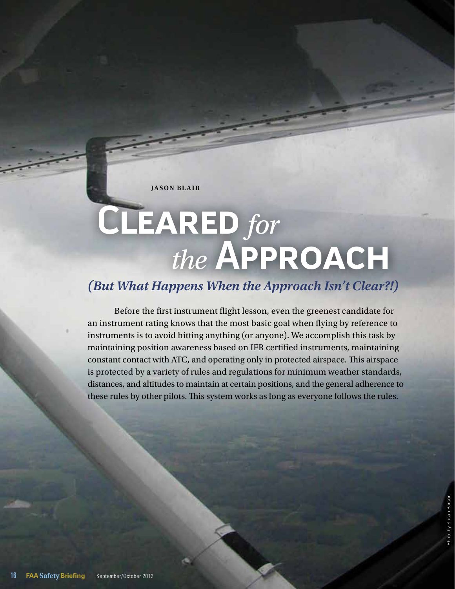**JASON BLAIR** 

# **Cleared** *for the* **Approach**

## *(But What Happens When the Approach Isn't Clear?!)*

Before the first instrument flight lesson, even the greenest candidate for an instrument rating knows that the most basic goal when flying by reference to instruments is to avoid hitting anything (or anyone). We accomplish this task by maintaining position awareness based on IFR certified instruments, maintaining constant contact with ATC, and operating only in protected airspace. This airspace is protected by a variety of rules and regulations for minimum weather standards, distances, and altitudes to maintain at certain positions, and the general adherence to these rules by other pilots. This system works as long as everyone follows the rules.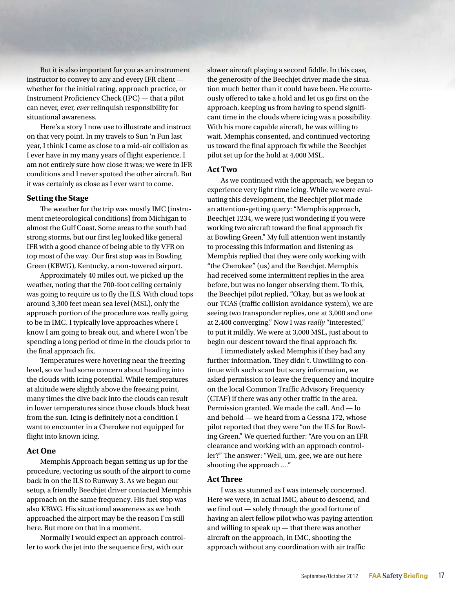But it is also important for you as an instrument instructor to convey to any and every IFR client whether for the initial rating, approach practice, or Instrument Proficiency Check (IPC) — that a pilot can never, ever, *ever* relinquish responsibility for situational awareness.

Here's a story I now use to illustrate and instruct on that very point. In my travels to Sun 'n Fun last year, I think I came as close to a mid-air collision as I ever have in my many years of flight experience. I am not entirely sure how close it was; we were in IFR conditions and I never spotted the other aircraft. But it was certainly as close as I ever want to come.

#### **Setting the Stage**

The weather for the trip was mostly IMC (instrument meteorological conditions) from Michigan to almost the Gulf Coast. Some areas to the south had strong storms, but our first leg looked like general IFR with a good chance of being able to fly VFR on top most of the way. Our first stop was in Bowling Green (KBWG), Kentucky, a non-towered airport.

Approximately 40 miles out, we picked up the weather, noting that the 700-foot ceiling certainly was going to require us to fly the ILS. With cloud tops around 3,300 feet mean sea level (MSL), only the approach portion of the procedure was really going to be in IMC. I typically love approaches where I know I am going to break out, and where I won't be spending a long period of time in the clouds prior to the final approach fix.

Temperatures were hovering near the freezing level, so we had some concern about heading into the clouds with icing potential. While temperatures at altitude were slightly above the freezing point, many times the dive back into the clouds can result in lower temperatures since those clouds block heat from the sun. Icing is definitely not a condition I want to encounter in a Cherokee not equipped for flight into known icing.

#### **Act One**

Memphis Approach began setting us up for the procedure, vectoring us south of the airport to come back in on the ILS to Runway 3. As we began our setup, a friendly Beechjet driver contacted Memphis approach on the same frequency. His fuel stop was also KBWG. His situational awareness as we both approached the airport may be the reason I'm still here. But more on that in a moment.

Normally I would expect an approach controller to work the jet into the sequence first, with our

slower aircraft playing a second fiddle. In this case, the generosity of the Beechjet driver made the situation much better than it could have been. He courteously offered to take a hold and let us go first on the approach, keeping us from having to spend significant time in the clouds where icing was a possibility. With his more capable aircraft, he was willing to wait. Memphis consented, and continued vectoring us toward the final approach fix while the Beechjet pilot set up for the hold at 4,000 MSL.

#### **Act Two**

As we continued with the approach, we began to experience very light rime icing. While we were evaluating this development, the Beechjet pilot made an attention-getting query: "Memphis approach, Beechjet 1234, we were just wondering if you were working two aircraft toward the final approach fix at Bowling Green." My full attention went instantly to processing this information and listening as Memphis replied that they were only working with "the Cherokee" (us) and the Beechjet. Memphis had received some intermittent replies in the area before, but was no longer observing them. To this, the Beechjet pilot replied, "Okay, but as we look at our TCAS (traffic collision avoidance system), we are seeing two transponder replies, one at 3,000 and one at 2,400 converging." Now I was *really* "interested," to put it mildly. We were at 3,000 MSL, just about to begin our descent toward the final approach fix.

I immediately asked Memphis if they had any further information. They didn't. Unwilling to continue with such scant but scary information, we asked permission to leave the frequency and inquire on the local Common Traffic Advisory Frequency (CTAF) if there was any other traffic in the area. Permission granted. We made the call. And — lo and behold — we heard from a Cessna 172, whose pilot reported that they were "on the ILS for Bowling Green." We queried further: "Are you on an IFR clearance and working with an approach controller?" The answer: "Well, um, gee, we are out here shooting the approach …."

#### **Act Three**

I was as stunned as I was intensely concerned. Here we were, in actual IMC, about to descend, and we find out — solely through the good fortune of having an alert fellow pilot who was paying attention and willing to speak up — that there was another aircraft on the approach, in IMC, shooting the approach without any coordination with air traffic